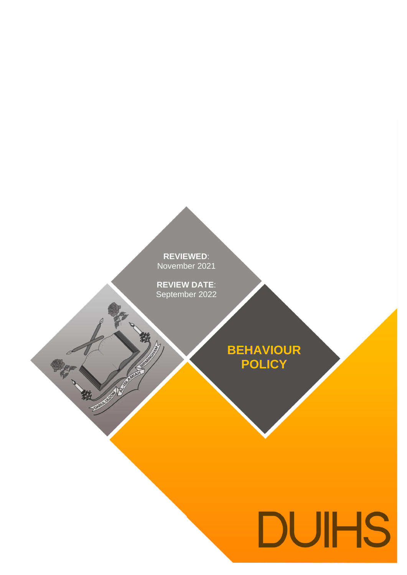**REVIEWED**: **REVIEWED**: November 2021

**REVIEW DATE**<br>September 2022 **REVIEW DATE**: September 2022

中村 教

**RIVERSIDE** 

**BEHAVIOUR POLICY**

# **DUIHS**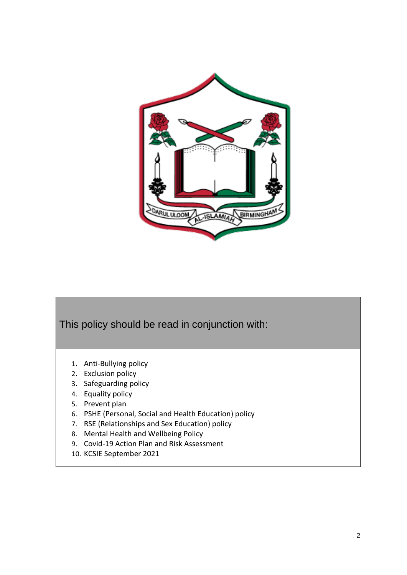



- 1. Anti-Bullying policy
- 2. Exclusion policy
- 3. Safeguarding policy
- 4. Equality policy
- 5. Prevent plan
- 6. PSHE (Personal, Social and Health Education) policy
- 7. RSE (Relationships and Sex Education) policy
- 8. Mental Health and Wellbeing Policy
- 9. Covid-19 Action Plan and Risk Assessment
- 10. KCSIE September 2021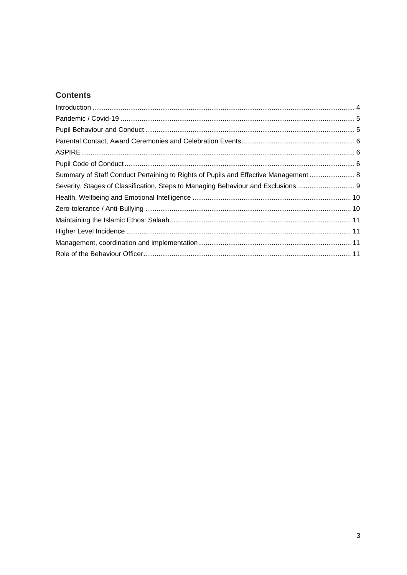# **Contents**

| Summary of Staff Conduct Pertaining to Rights of Pupils and Effective Management 8 |  |
|------------------------------------------------------------------------------------|--|
| Severity, Stages of Classification, Steps to Managing Behaviour and Exclusions     |  |
|                                                                                    |  |
|                                                                                    |  |
|                                                                                    |  |
|                                                                                    |  |
|                                                                                    |  |
|                                                                                    |  |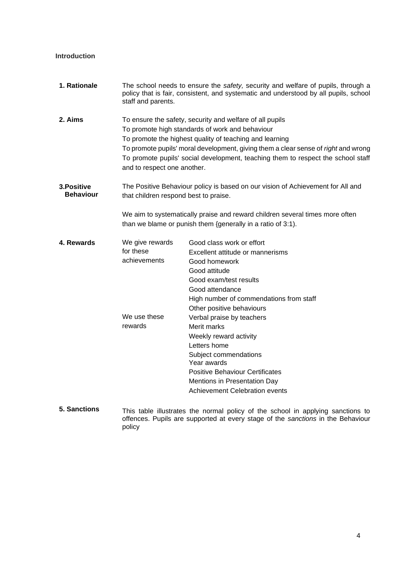# <span id="page-3-0"></span>**Introduction**

| 1. Rationale                    | The school needs to ensure the safety, security and welfare of pupils, through a<br>policy that is fair, consistent, and systematic and understood by all pupils, school<br>staff and parents.                                                                                                                                                                                  |                                                                                                                                                                                                                                               |  |
|---------------------------------|---------------------------------------------------------------------------------------------------------------------------------------------------------------------------------------------------------------------------------------------------------------------------------------------------------------------------------------------------------------------------------|-----------------------------------------------------------------------------------------------------------------------------------------------------------------------------------------------------------------------------------------------|--|
| 2. Aims                         | To ensure the safety, security and welfare of all pupils<br>To promote high standards of work and behaviour<br>To promote the highest quality of teaching and learning<br>To promote pupils' moral development, giving them a clear sense of right and wrong<br>To promote pupils' social development, teaching them to respect the school staff<br>and to respect one another. |                                                                                                                                                                                                                                               |  |
| 3. Positive<br><b>Behaviour</b> |                                                                                                                                                                                                                                                                                                                                                                                 | The Positive Behaviour policy is based on our vision of Achievement for All and<br>that children respond best to praise.<br>We aim to systematically praise and reward children several times more often                                      |  |
|                                 | than we blame or punish them {generally in a ratio of 3:1).                                                                                                                                                                                                                                                                                                                     |                                                                                                                                                                                                                                               |  |
| 4. Rewards                      | We give rewards<br>for these<br>achievements                                                                                                                                                                                                                                                                                                                                    | Good class work or effort<br>Excellent attitude or mannerisms<br>Good homework<br>Good attitude<br>Good exam/test results<br>Good attendance<br>High number of commendations from staff<br>Other positive behaviours                          |  |
|                                 | We use these<br>rewards                                                                                                                                                                                                                                                                                                                                                         | Verbal praise by teachers<br>Merit marks<br>Weekly reward activity<br>Letters home<br>Subject commendations<br>Year awards<br><b>Positive Behaviour Certificates</b><br>Mentions in Presentation Day<br><b>Achievement Celebration events</b> |  |

**5. Sanctions** This table illustrates the normal policy of the school in applying sanctions to offences. Pupils are supported at every stage of the *sanctions* in the Behaviour policy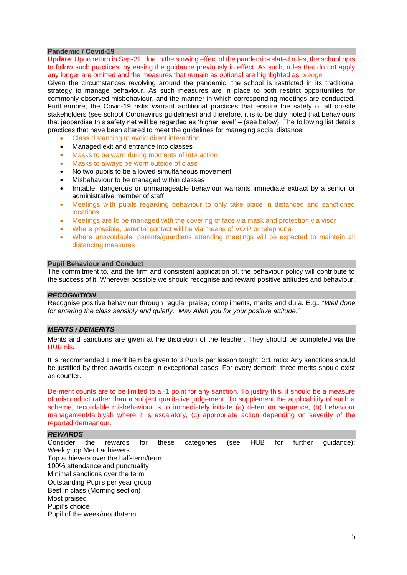#### <span id="page-4-0"></span>**Pandemic / Covid-19**

**Update**: Upon return in Sep-21, due to the slowing effect of the pandemic-related rules, the school opts to follow such practices, by easing the guidance previously in effect. As such, rules that do not apply any longer are omitted and the measures that remain as optional are highlighted as *orange.*

Given the circumstances revolving around the pandemic, the school is restricted in its traditional strategy to manage behaviour. As such measures are in place to both restrict opportunities for commonly observed misbehaviour, and the manner in which corresponding meetings are conducted. Furthermore, the Covid-19 risks warrant additional practices that ensure the safety of all on-site stakeholders (see school Coronavirus guidelines) and therefore, it is to be duly noted that behaviours that jeopardise this safety net will be regarded as 'higher level' – (see below). The following list details practices that have been altered to meet the guidelines for managing social distance:

- Class distancing to avoid direct interaction
- Managed exit and entrance into classes
- Masks to be warn during moments of interaction
- Masks to always be worn outside of class
- No two pupils to be allowed simultaneous movement
- Misbehaviour to be managed within classes
- Irritable, dangerous or unmanageable behaviour warrants immediate extract by a senior or administrative member of staff
- Meetings with pupils regarding behaviour to only take place in distanced and sanctioned locations
- Meetings are to be managed with the covering of face via mask and protection via visor
- Where possible, parental contact will be via means of VOIP or telephone
- Where unavoidable, parents/guardians attending meetings will be expected to maintain all distancing measures

# <span id="page-4-1"></span>**Pupil Behaviour and Conduct**

The commitment to, and the firm and consistent application of, the behaviour policy will contribute to the success of it. Wherever possible we should recognise and reward positive attitudes and behaviour.

#### *RECOGNITION*

Recognise positive behaviour through regular praise, compliments, merits and du'a. E.g., "*Well done for entering the class sensibly and quietly. May Allah you for your positive attitude."* 

#### *MERITS / DEMERITS*

Merits and sanctions are given at the discretion of the teacher. They should be completed via the HUBmis.

It is recommended 1 merit item be given to 3 Pupils per lesson taught. 3:1 ratio: Any sanctions should be justified by three awards except in exceptional cases. For every demerit, three merits should exist as counter.

De-merit counts are to be limited to a -1 point for any sanction. To justify this, it should be a measure of misconduct rather than a subject qualitative judgement. To supplement the applicability of such a scheme, recordable misbehaviour is to immediately initiate (a) detention sequence, (b) behaviour management/tarbiyah where it is escalatory, (c) appropriate action depending on severity of the reported demeanour.

#### *REWARDS*

Consider the rewards for these categories (see HUB for further guidance): Weekly top Merit achievers Top achievers over the half-term/term 100% attendance and punctuality Minimal sanctions over the term Outstanding Pupils per year group Best in class (Morning section) Most praised Pupil's choice Pupil of the week/month/term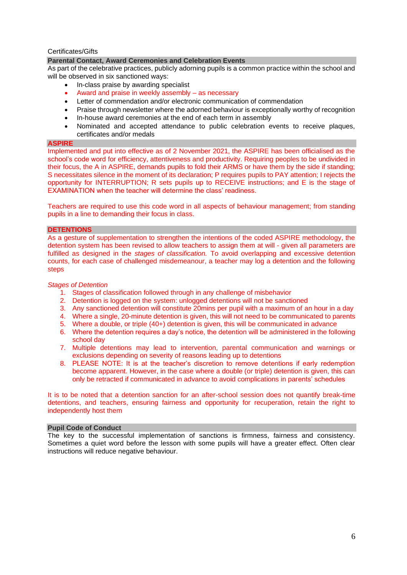#### Certificates/Gifts

# <span id="page-5-0"></span>**Parental Contact, Award Ceremonies and Celebration Events**

As part of the celebrative practices, publicly adorning pupils is a common practice within the school and will be observed in six sanctioned ways:

- In-class praise by awarding specialist
- Award and praise in weekly assembly as necessary
- Letter of commendation and/or electronic communication of commendation
- Praise through newsletter where the adorned behaviour is exceptionally worthy of recognition
- In-house award ceremonies at the end of each term in assembly
- Nominated and accepted attendance to public celebration events to receive plaques, certificates and/or medals

#### <span id="page-5-1"></span>**ASPIRE**

Implemented and put into effective as of 2 November 2021, the ASPIRE has been officialised as the school's code word for efficiency, attentiveness and productivity. Requiring peoples to be undivided in their focus, the A in ASPIRE, demands pupils to fold their ARMS or have them by the side if standing; S necessitates silence in the moment of its declaration; P requires pupils to PAY attention; I rejects the opportunity for INTERRUPTION; R sets pupils up to RECEIVE instructions; and E is the stage of EXAMINATION when the teacher will determine the class' readiness.

Teachers are required to use this code word in all aspects of behaviour management; from standing pupils in a line to demanding their focus in class.

#### **DETENTIONS**

As a gesture of supplementation to strengthen the intentions of the coded ASPIRE methodology, the detention system has been revised to allow teachers to assign them at will - given all parameters are fulfilled as designed in the *stages of classification.* To avoid overlapping and excessive detention counts, for each case of challenged misdemeanour, a teacher may log a detention and the following steps

#### *Stages of Detention*

- 1. Stages of classification followed through in any challenge of misbehavior
- 2. Detention is logged on the system: unlogged detentions will not be sanctioned
- 3. Any sanctioned detention will constitute 20mins per pupil with a maximum of an hour in a day
- 4. Where a single, 20-minute detention is given, this will not need to be communicated to parents
- 5. Where a double, or triple (40+) detention is given, this will be communicated in advance
- 6. Where the detention requires a day's notice, the detention will be administered in the following school day
- 7. Multiple detentions may lead to intervention, parental communication and warnings or exclusions depending on severity of reasons leading up to detentions
- 8. PLEASE NOTE: It is at the teacher's discretion to remove detentions if early redemption become apparent. However, in the case where a double (or triple) detention is given, this can only be retracted if communicated in advance to avoid complications in parents' schedules

It is to be noted that a detention sanction for an after-school session does not quantify break-time detentions, and teachers, ensuring fairness and opportunity for recuperation, retain the right to independently host them

#### <span id="page-5-2"></span>**Pupil Code of Conduct**

The key to the successful implementation of sanctions is firmness, fairness and consistency. Sometimes a quiet word before the lesson with some pupils will have a greater effect. Often clear instructions will reduce negative behaviour.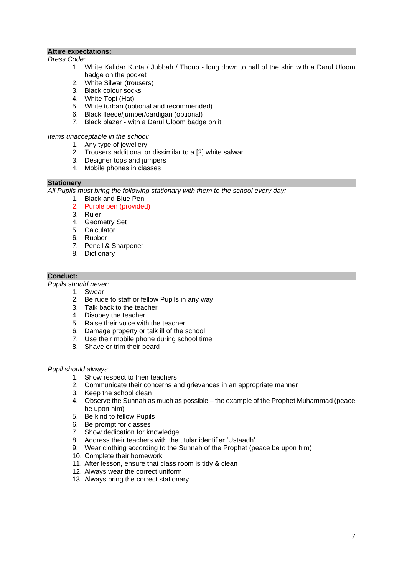# **Attire expectations:**

#### *Dress Code:*

- 1. White Kalidar Kurta / Jubbah / Thoub long down to half of the shin with a Darul Uloom badge on the pocket
- 2. White Silwar (trousers)
- 3. Black colour socks
- 4. White Topi (Hat)
- 5. White turban (optional and recommended)
- 6. Black fleece/jumper/cardigan (optional)
- 7. Black blazer with a Darul Uloom badge on it

#### *Items unacceptable in the school:*

- 1. Any type of jewellery
- 2. Trousers additional or dissimilar to a [2] white salwar
- 3. Designer tops and jumpers
- 4. Mobile phones in classes

# **Stationery**

*All Pupils must bring the following stationary with them to the school every day:*

- 1. Black and Blue Pen
- 2. Purple pen (provided)
- 3. Ruler
- 4. Geometry Set
- 5. Calculator
- 6. Rubber
- 7. Pencil & Sharpener
- 8. Dictionary

# **Conduct:**

*Pupils should never:*

- 1. Swear
- 2. Be rude to staff or fellow Pupils in any way
- 3. Talk back to the teacher
- 4. Disobey the teacher
- 5. Raise their voice with the teacher
- 6. Damage property or talk ill of the school
- 7. Use their mobile phone during school time
- 8. Shave or trim their beard

#### *Pupil should always:*

- 1. Show respect to their teachers
- 2. Communicate their concerns and grievances in an appropriate manner
- 3. Keep the school clean
- 4. Observe the Sunnah as much as possible the example of the Prophet Muhammad (peace be upon him)
- 5. Be kind to fellow Pupils
- 6. Be prompt for classes
- 7. Show dedication for knowledge
- 8. Address their teachers with the titular identifier 'Ustaadh'
- 9. Wear clothing according to the Sunnah of the Prophet (peace be upon him)
- 10. Complete their homework
- 11. After lesson, ensure that class room is tidy & clean
- 12. Always wear the correct uniform
- 13. Always bring the correct stationary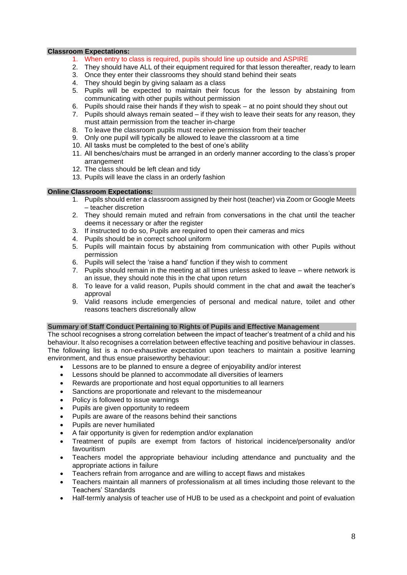#### **Classroom Expectations:**

- 1. When entry to class is required, pupils should line up outside and ASPIRE
- 2. They should have ALL of their equipment required for that lesson thereafter, ready to learn
- 3. Once they enter their classrooms they should stand behind their seats
- 4. They should begin by giving salaam as a class
- 5. Pupils will be expected to maintain their focus for the lesson by abstaining from communicating with other pupils without permission
- 6. Pupils should raise their hands if they wish to speak at no point should they shout out
- 7. Pupils should always remain seated if they wish to leave their seats for any reason, they must attain permission from the teacher in-charge
- 8. To leave the classroom pupils must receive permission from their teacher
- 9. Only one pupil will typically be allowed to leave the classroom at a time
- 10. All tasks must be completed to the best of one's ability
- 11. All benches/chairs must be arranged in an orderly manner according to the class's proper arrangement
- 12. The class should be left clean and tidy
- 13. Pupils will leave the class in an orderly fashion

#### **Online Classroom Expectations:**

- 1. Pupils should enter a classroom assigned by their host (teacher) via Zoom or Google Meets – teacher discretion
- 2. They should remain muted and refrain from conversations in the chat until the teacher deems it necessary or after the register
- 3. If instructed to do so, Pupils are required to open their cameras and mics
- 4. Pupils should be in correct school uniform
- 5. Pupils will maintain focus by abstaining from communication with other Pupils without permission
- 6. Pupils will select the 'raise a hand' function if they wish to comment
- 7. Pupils should remain in the meeting at all times unless asked to leave where network is an issue, they should note this in the chat upon return
- 8. To leave for a valid reason, Pupils should comment in the chat and await the teacher's approval
- 9. Valid reasons include emergencies of personal and medical nature, toilet and other reasons teachers discretionally allow

#### <span id="page-7-0"></span>**Summary of Staff Conduct Pertaining to Rights of Pupils and Effective Management**

The school recognises a strong correlation between the impact of teacher's treatment of a child and his behaviour. It also recognises a correlation between effective teaching and positive behaviour in classes. The following list is a non-exhaustive expectation upon teachers to maintain a positive learning environment, and thus ensue praiseworthy behaviour:

- Lessons are to be planned to ensure a degree of enjoyability and/or interest
- Lessons should be planned to accommodate all diversities of learners
- Rewards are proportionate and host equal opportunities to all learners
- Sanctions are proportionate and relevant to the misdemeanour
- Policy is followed to issue warnings
- Pupils are given opportunity to redeem
- Pupils are aware of the reasons behind their sanctions
- Pupils are never humiliated
- A fair opportunity is given for redemption and/or explanation
- Treatment of pupils are exempt from factors of historical incidence/personality and/or favouritism
- Teachers model the appropriate behaviour including attendance and punctuality and the appropriate actions in failure
- Teachers refrain from arrogance and are willing to accept flaws and mistakes
- Teachers maintain all manners of professionalism at all times including those relevant to the Teachers' Standards
- Half-termly analysis of teacher use of HUB to be used as a checkpoint and point of evaluation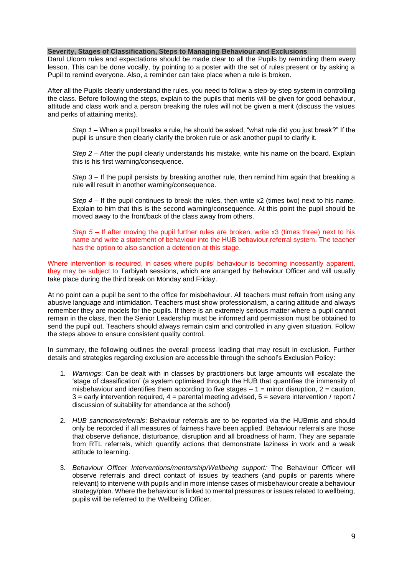#### <span id="page-8-0"></span>**Severity, Stages of Classification, Steps to Managing Behaviour and Exclusions**

Darul Uloom rules and expectations should be made clear to all the Pupils by reminding them every lesson. This can be done vocally, by pointing to a poster with the set of rules present or by asking a Pupil to remind everyone. Also, a reminder can take place when a rule is broken.

After all the Pupils clearly understand the rules, you need to follow a step-by-step system in controlling the class. Before following the steps, explain to the pupils that merits will be given for good behaviour, attitude and class work and a person breaking the rules will not be given a merit (discuss the values and perks of attaining merits).

*Step 1* – When a pupil breaks a rule, he should be asked, "what rule did you just break?" If the pupil is unsure then clearly clarify the broken rule or ask another pupil to clarify it.

*Step 2* – After the pupil clearly understands his mistake, write his name on the board. Explain this is his first warning/consequence.

*Step 3* – If the pupil persists by breaking another rule, then remind him again that breaking a rule will result in another warning/consequence.

*Step 4* – If the pupil continues to break the rules, then write x2 (times two) next to his name. Explain to him that this is the second warning/consequence. At this point the pupil should be moved away to the front/back of the class away from others.

*Step 5* – If after moving the pupil further rules are broken, write x3 (times three) next to his name and write a statement of behaviour into the HUB behaviour referral system. The teacher has the option to also sanction a detention at this stage.

Where intervention is required, in cases where pupils' behaviour is becoming incessantly apparent, they may be subject to Tarbiyah sessions, which are arranged by Behaviour Officer and will usually take place during the third break on Monday and Friday.

At no point can a pupil be sent to the office for misbehaviour. All teachers must refrain from using any abusive language and intimidation. Teachers must show professionalism, a caring attitude and always remember they are models for the pupils. If there is an extremely serious matter where a pupil cannot remain in the class, then the Senior Leadership must be informed and permission must be obtained to send the pupil out. Teachers should always remain calm and controlled in any given situation. Follow the steps above to ensure consistent quality control.

In summary, the following outlines the overall process leading that may result in exclusion. Further details and strategies regarding exclusion are accessible through the school's Exclusion Policy:

- 1. *Warnings*: Can be dealt with in classes by practitioners but large amounts will escalate the 'stage of classification' (a system optimised through the HUB that quantifies the immensity of misbehaviour and identifies them according to five stages  $-1 =$  minor disruption,  $2 =$  caution,  $3$  = early intervention required,  $4$  = parental meeting advised,  $5$  = severe intervention / report / discussion of suitability for attendance at the school)
- 2. *HUB sanctions/referrals*: Behaviour referrals are to be reported via the HUBmis and should only be recorded if all measures of fairness have been applied. Behaviour referrals are those that observe defiance, disturbance, disruption and all broadness of harm. They are separate from RTL referrals, which quantify actions that demonstrate laziness in work and a weak attitude to learning.
- 3. *Behaviour Officer Interventions/mentorship/Wellbeing support:* The Behaviour Officer will observe referrals and direct contact of issues by teachers (and pupils or parents where relevant) to intervene with pupils and in more intense cases of misbehaviour create a behaviour strategy/plan. Where the behaviour is linked to mental pressures or issues related to wellbeing, pupils will be referred to the Wellbeing Officer.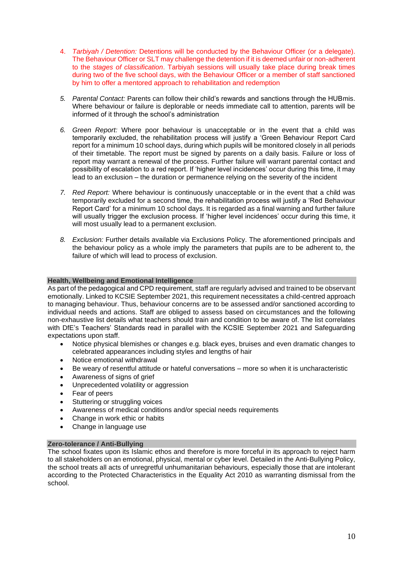- 4. *Tarbiyah / Detention:* Detentions will be conducted by the Behaviour Officer (or a delegate). The Behaviour Officer or SLT may challenge the detention if it is deemed unfair or non-adherent to the *stages of classification*. Tarbiyah sessions will usually take place during break times during two of the five school days, with the Behaviour Officer or a member of staff sanctioned by him to offer a mentored approach to rehabilitation and redemption
- *5. Parental Contact:* Parents can follow their child's rewards and sanctions through the HUBmis. Where behaviour or failure is deplorable or needs immediate call to attention, parents will be informed of it through the school's administration
- *6. Green Report:* Where poor behaviour is unacceptable or in the event that a child was temporarily excluded, the rehabilitation process will justify a 'Green Behaviour Report Card report for a minimum 10 school days, during which pupils will be monitored closely in all periods of their timetable. The report must be signed by parents on a daily basis. Failure or loss of report may warrant a renewal of the process. Further failure will warrant parental contact and possibility of escalation to a red report. If 'higher level incidences' occur during this time, it may lead to an exclusion – the duration or permanence relying on the severity of the incident
- *7. Red Report:* Where behaviour is continuously unacceptable or in the event that a child was temporarily excluded for a second time, the rehabilitation process will justify a 'Red Behaviour Report Card' for a minimum 10 school days. It is regarded as a final warning and further failure will usually trigger the exclusion process. If 'higher level incidences' occur during this time, it will most usually lead to a permanent exclusion.
- *8. Exclusion:* Further details available via Exclusions Policy. The aforementioned principals and the behaviour policy as a whole imply the parameters that pupils are to be adherent to, the failure of which will lead to process of exclusion.

# <span id="page-9-0"></span>**Health, Wellbeing and Emotional Intelligence**

As part of the pedagogical and CPD requirement, staff are regularly advised and trained to be observant emotionally. Linked to KCSIE September 2021, this requirement necessitates a child-centred approach to managing behaviour. Thus, behaviour concerns are to be assessed and/or sanctioned according to individual needs and actions. Staff are obliged to assess based on circumstances and the following non-exhaustive list details what teachers should train and condition to be aware of. The list correlates with DfE's Teachers' Standards read in parallel with the KCSIE September 2021 and Safeguarding expectations upon staff.

- Notice physical blemishes or changes e.g. black eyes, bruises and even dramatic changes to celebrated appearances including styles and lengths of hair
- Notice emotional withdrawal
- Be weary of resentful attitude or hateful conversations more so when it is uncharacteristic
- Awareness of signs of grief
- Unprecedented volatility or aggression
- Fear of peers
- Stuttering or struggling voices
- Awareness of medical conditions and/or special needs requirements
- Change in work ethic or habits
- Change in language use

#### <span id="page-9-1"></span>**Zero-tolerance / Anti-Bullying**

The school fixates upon its Islamic ethos and therefore is more forceful in its approach to reject harm to all stakeholders on an emotional, physical, mental or cyber level. Detailed in the Anti-Bullying Policy, the school treats all acts of unregretful unhumanitarian behaviours, especially those that are intolerant according to the Protected Characteristics in the Equality Act 2010 as warranting dismissal from the school.